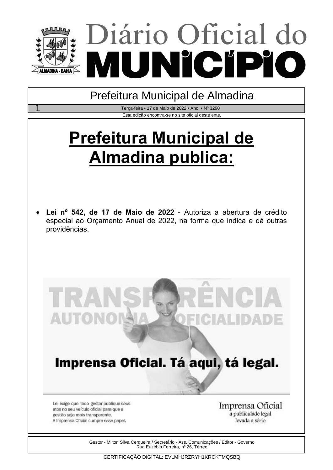



Gestor - Milton Silva Cerqueira / Secretário - Ass. Comunicações / Editor - Governo Rua Euzébio Ferreira, nº 26, Térreo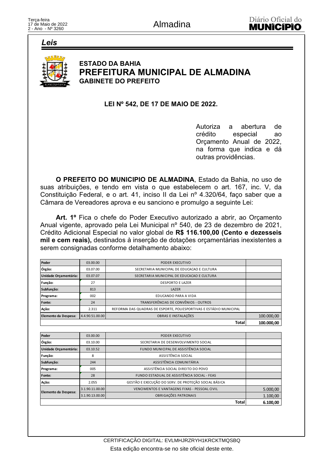Leis



# **ESTADO DA BAHIA** PREFEITURA MUNICIPAL DE ALMADINA **GABINETE DO PREFEITO**

### LEI Nº 542, DE 17 DE MAIO DE 2022.

Autoriza a abertura de crédito especial ao Orçamento Anual de 2022, na forma que indica e dá outras providências.

O PREFEITO DO MUNICIPIO DE ALMADINA, Estado da Bahia, no uso de suas atribuições, e tendo em vista o que estabelecem o art. 167, inc. V, da Constituição Federal, e o art. 41, inciso II da Lei nº 4.320/64, faço saber que a Câmara de Vereadores aprova e eu sanciono e promulgo a seguinte Lei:

Art. 1º Fica o chefe do Poder Executivo autorizado a abrir, ao Orçamento Anual vigente, aprovado pela Lei Municipal nº 540, de 23 de dezembro de 2021, Crédito Adicional Especial no valor global de R\$ 116.100,00 (Cento e dezesseis mil e cem reais), destinados à inserção de dotações orçamentárias inexistentes a serem consignadas conforme detalhamento abaixo:

| Poder                 | 03.00.00        | PODER EXECUTIVO                                                    |            |
|-----------------------|-----------------|--------------------------------------------------------------------|------------|
| Órgão:                | 03.07.00        | SECRETARIA MUNICIPAL DE EDUCACAO E CULTURA                         |            |
| Unidade Orçamentária: | 03.07.07        | SECRETARIA MUNICIPAL DE EDUCACAO E CULTURA                         |            |
| Função:               | 27              | <b>DESPORTO E LAZER</b>                                            |            |
| Subfunção:            | 813             | LAZER                                                              |            |
| Programa:             | 002             | EDUCANDO PARA A VIDA                                               |            |
| Fonte:                | 24              | TRANSFERÊNCIAS DE CONVÊNIOS - OUTROS                               |            |
| Ação:                 | 2.311           | REFORMA DAS QUADRAS DE ESPORTE, POLIESPORTIVAS E ESTÁDIO MUNICIPAL |            |
| Elemento da Despesa:  | 4.4.90.51.00.00 | OBRAS E INSTALAÇÕES                                                | 100.000,00 |
|                       |                 | Total                                                              | 100.000.00 |

| Poder                 | 03.00.00        | PODER EXECUTIVO                                      |          |
|-----------------------|-----------------|------------------------------------------------------|----------|
| Órgão:                | 03.10.00        | SECRETARIA DE DESENVOLVIMENTO SOCIAL                 |          |
| Unidade Orçamentária: | 03.10.52        | FUNDO MUNICIPAL DE ASSISTÊNCIA SOCIAL                |          |
| Função:               | 8               | ASSISTÊNCIA SOCIAL                                   |          |
| Subfunção:            | 244             | ASSISTÊNCIA COMUNITÁRIA                              |          |
| Programa:             | 005             | ASSISTÊNCIA SOCIAL DIREITO DO POVO                   |          |
| Fonte:                | 28              | FUNDO ESTADUAL DE ASSISTÊNCIA SOCIAL - FEAS          |          |
| Ação:                 | 2.055           | GESTÃO E EXECUÇÃO DO SERV. DE PROTEÇÃO SOCIAL BÁSICA |          |
| Elemento da Despesa:  | 3.1.90.11.00.00 | VENCIMENTOS E VANTAGENS FIXAS - PESSOAL CIVIL        | 5.000,00 |
|                       | 3.1.90.13.00.00 | OBRIGAÇÕES PATRONAIS                                 | 1.100,00 |
|                       |                 | Total                                                | 6.100.00 |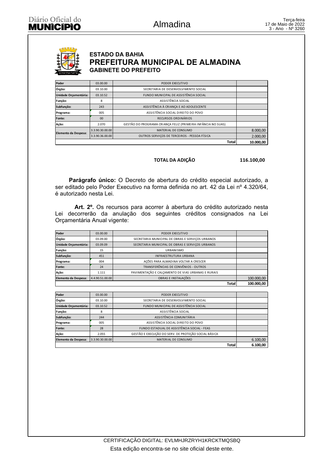### **ESTADO DA BAHIA** PREFEITURA MUNICIPAL DE ALMADINA **GABINETE DO PREFEITO**

| Poder                 | 03.00.00        | PODER EXECUTIVO                                              |           |
|-----------------------|-----------------|--------------------------------------------------------------|-----------|
| Órgão:                | 03.10.00        | SECRETARIA DE DESENVOLVIMENTO SOCIAL                         |           |
| Unidade Orçamentária: | 03.10.52        | FUNDO MUNICIPAL DE ASSISTÊNCIA SOCIAL                        |           |
| Função:               | 8               | ASSISTÊNCIA SOCIAL                                           |           |
| Subfunção:            | 243             | ASSISTÊNCIA À CRIANÇA E AO ADOLESCENTE                       |           |
| Programa:             | 005             | ASSISTÊNCIA SOCIAL DIREITO DO POVO                           |           |
| Fonte:                | 00              | RECURSOS ORDINÁRIOS                                          |           |
| Ação:                 | 2.070           | GESTÃO DO PROGRAMA CRIANÇA FELIZ (PRIMEIRA INFÂNCIA NO SUAS) |           |
| Elemento da Despesa:  | 3.3.90.30.00.00 | MATERIAL DE CONSUMO                                          | 8.000,00  |
|                       | 3.3.90.36.00.00 | OUTROS SERVICOS DE TERCEIROS - PESSOA FÍSICA                 | 2.000,00  |
|                       |                 | Total                                                        | 10.000.00 |

#### TOTAL DA ADIÇÃO

116.100,00

Parágrafo único: O Decreto de abertura do crédito especial autorizado, a ser editado pelo Poder Executivo na forma definida no art. 42 da Lei nº 4.320/64, é autorizado nesta Lei.

Art. 2º. Os recursos para acorrer à abertura do crédito autorizado nesta Lei decorrerão da anulação dos seguintes créditos consignados na Lei Orçamentária Anual vigente:

| Poder                 | 03.00.00        | PODER EXECUTIVO                                    |              |            |
|-----------------------|-----------------|----------------------------------------------------|--------------|------------|
| Órgão:                | 03.09.00        | SECRETARIA MUNICIPAL DE OBRAS E SERVIÇOS URBANOS   |              |            |
| Unidade Orçamentária: | 03.09.09        | SECRETARIA MUNICIPAL DE OBRAS E SERVIÇOS URBANOS   |              |            |
| Função:               | 15              | URBANISMO                                          |              |            |
| Subfunção:            | 451             | <b>INFRAESTRUTURA URBANA</b>                       |              |            |
| Programa:             | 004             | AÇÕES PARA ALMADINA VOLTAR A CRESCER               |              |            |
| Fonte:                | 24              | TRANSFERÊNCIAS DE CONVÊNIOS - OUTROS               |              |            |
| Ação:                 | 1.111           | PAVIMENTAÇÃO E CALÇAMENTO DE VIAS URBANAS E RURAIS |              |            |
| Elemento da Despesa:  | 4.4.90.51.00.00 | OBRAS E INSTALAÇÕES                                |              | 100.000,00 |
|                       |                 |                                                    | <b>Total</b> | 100.000.00 |

| Poder                 | 03.00.00        | PODER EXECUTIVO                                      |          |
|-----------------------|-----------------|------------------------------------------------------|----------|
| Órgão:                | 03.10.00        | SECRETARIA DE DESENVOLVIMENTO SOCIAL                 |          |
| Unidade Orçamentária: | 03.10.52        | FUNDO MUNICIPAL DE ASSISTÊNCIA SOCIAL                |          |
| Função:               | 8               | ASSISTÊNCIA SOCIAL                                   |          |
| Subfunção:            | 244             | ASSISTÊNCIA COMUNITÁRIA                              |          |
| Programa:             | 005             | ASSISTÊNCIA SOCIAL DIREITO DO POVO                   |          |
| <b>Fonte:</b>         | 28              | FUNDO ESTADUAL DE ASSISTÊNCIA SOCIAL - FEAS          |          |
| Ação:                 | 2.055           | GESTÃO E EXECUÇÃO DO SERV. DE PROTEÇÃO SOCIAL BÁSICA |          |
| Elemento da Despesa:  | 3.3.90.30.00.00 | MATERIAL DE CONSUMO                                  | 6.100,00 |
|                       |                 | Total                                                | 6.100.00 |